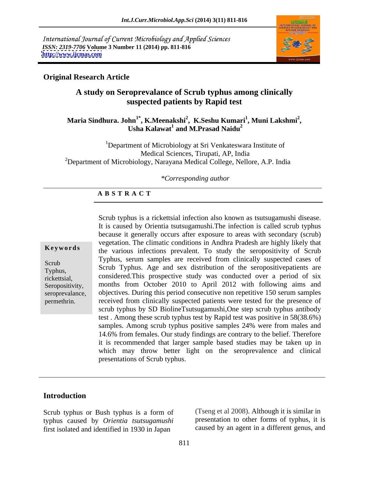International Journal of Current Microbiology and Applied Sciences *ISSN: 2319-7706* **Volume 3 Number 11 (2014) pp. 811-816 <http://www.ijcmas.com>**



### **Original Research Article**

### **A study on Seroprevalance of Scrub typhus among clinically suspected patients by Rapid test**

### Maria Sindhura. John<sup>1\*</sup>, K.Meenakshi<sup>2</sup>, K.Seshu Kumari<sup>1</sup>, Muni Lakshmi<sup>2</sup>,<br>Usha Kalawat<sup>1</sup> and M.Prasad Naidu<sup>2</sup> **, Muni Lakshmi<sup>2</sup> and M.Prasad Naidu<sup>2</sup>**

<sup>1</sup>Department of Microbiology at Sri Venkateswara Institute of Medical Sciences, Tirupati, AP, India <sup>2</sup>Department of Microbiology, Narayana Medical College, Nellore, A.P. India

### *\*Corresponding author*

### **A B S T R A C T**

**Keywords** the various infections prevalent. To study the seropositivity of Scrub Scrub  $\frac{1}{2}$   $\frac{1}{2}$   $\frac{1}{2}$   $\frac{1}{2}$   $\frac{1}{2}$   $\frac{1}{2}$   $\frac{1}{2}$   $\frac{1}{2}$   $\frac{1}{2}$   $\frac{1}{2}$   $\frac{1}{2}$   $\frac{1}{2}$   $\frac{1}{2}$   $\frac{1}{2}$   $\frac{1}{2}$   $\frac{1}{2}$   $\frac{1}{2}$   $\frac{1}{2}$   $\frac{1}{2}$   $\frac{1}{2}$   $\frac{1}{2}$   $\frac{1$ Typhus, Scrub Typhus. Age and sex distribution of the seropositivepatients are rickettsial, considered.This prospective study was conducted over a period of six Seropositivity, months from October 2010 to April 2012 with following aims and seroprevalance, objectives. During this period consecutive non repetitive 150 serum samples Scrub typhus is a rickettsial infection also known as tsutsugamushi disease.<br>
It is caused by Orientia tsutsugamushi.The infection is called scrub typhus<br>
because it generally occurs after exposure to areas with secondary because it generally occurs after exposure to areas with secondary (scrub) vegetation. The climatic conditions in Andhra Pradesh are highly likely that Typhus, serum samples are received from clinically suspected cases of received from clinically suspected patients were tested for the presence of scrub typhus by SD BiolineTsutsugamushi,One step scrub typhus antibody test . Among these scrub typhus test by Rapid test was positive in 58(38.6%) samples. Among scrub typhus positive samples 24% were from males and 14.6% from females. Our study findings are contrary to the belief. Therefore it is recommended that larger sample based studies may be taken up in which may throw better light on the seroprevalence and clinical presentations of Scrub typhus.

### **Introduction**

Scrub typhus or Bush typhus is a form of typhus caused by *Orientia tsutsugamushi* first isolated and identified in 1930 in Japan

(Tseng et al 2008). Although it is similar in presentation to other forms of typhus, it is caused by an agent in a different genus, and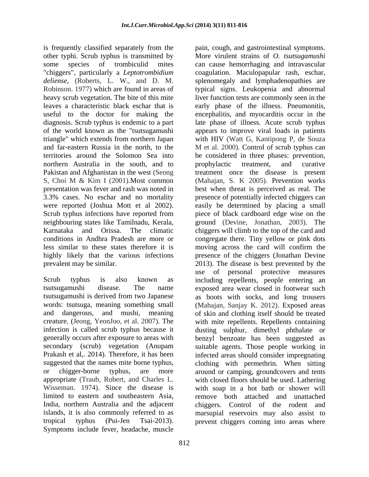is frequently classified separately from the pain, cough, and gastrointestinal symptoms. other typhi. Scrub typhus is transmitted by More virulent strains of O. tsutsugamushi "chiggers", particularly a *Leptotrombidium* and far-eastern Russia in the north, to the M et al. 2000). Control of scrub typhus can northern Australia in the south, and to prophylactic treatment, and curative

India, northern Australia and the adjacent Symptoms include fever, headache, muscle

some species of trombiculid mites can cause hemorrhaging and intravascular *deliense*, (Roberts, L. W., and D. M. splenomegaly and lymphadenopathies are Robinson. 1977) which are found in areas of typical signs. Leukopenia and abnormal heavy scrub vegetation. The bite of this mite liver function tests are commonly seen in the leaves a characteristic black eschar that is early phase of the illness. Pneumonitis, useful to the doctor for making the encephalitis,and myocarditis occur in the diagnosis. Scrub typhus is endemic to apart late phase of illness. Acute scrub typhus of the world known as the "tsutsugamushi appearsto improve viral loads in patients triangle" which extends from northern Japan with HIV (Watt G, Kantipong P, de Souza territories around the Solomon Sea into be considered in three phases: prevention, Pakistan and Afghanistan in the west (Seong treatment once the disease is present S, Choi M & Kim I (2001).Most common (Mahajan, S. K 2005). Prevention works presentation was fever and rash was noted in best when threat is perceived as real. The 3.3% cases. No eschar and no mortality presence of potentially infected chiggers can were reported (Joshua Mott et al 2002). easily be determined by placing a small<br>Scrub typhus infections have reported from piece of black cardboard edge wise on the neighbouring states like Tamilnadu, Kerala, ground (Devine, Jonathan, 2003). The Karnataka and Orissa. The climatic chiggers will climb to the top of the card and conditions in Andhra Pradesh are more or congregate there. Tiny yellow or pink dots less similar to these states therefore it is moving across the card will confirm the highly likely that the various infections presence of the chiggers (Jonathan Devine prevalent may be similar. 2013). The disease is best prevented by the Scrub typhus is also known as including repellents, people entering an tsutsugamushi disease. The name exposed area wear closed in footwear such tsutsugamushi is derived from two Japanese as boots with socks, and long trousers words: tsutsuga, meaning something small (Mahajan, Sanjay K. 2012). Exposed areas and dangerous, and mushi, meaning of skin and clothing itself should be treated creature. (Jeong, YeonJoo, et al. 2007). The with mite repellents. Repellents containing infection is called scrub typhus because it dusting sulphur, dimethyl phthalate or generally occurs after exposure to areas with benzyl benzoate has been suggested as secondary (scrub) vegetation (Anupam suitable agents. Those people working in Prakash et al,. 2014). Therefore, it has been infected areas should consider impregnating suggested that the names mite borne typhus, clothing with permethrin. When sitting or chigger-borne typhus, are more around or camping, groundcovers and tents appropriate (Traub, Robert, and Charles L. with closed floors should be used. Lathering Wisseman. 1974). Since the disease is with soap in a hot bath or shower will limited to eastern and southeastern Asia, remove both attached and unattached islands, it is also commonly referred to as marsupial reservoirs may also assist to tropical typhus (Pui-Jen Tsai-2013). prevent chiggers coming into areas wherepain, cough, and gastrointestinal symptoms.More virulent strains of *O. tsutsugamushi* coagulation. Maculopapular rash, eschar, M et al. 2000). Control of scrub typhus can prophylactic treatment, and curative (Mahajan, S. K 2005). Prevention works easily be determined by placing a small piece of black cardboard edge wise on the use of personal protective measures chiggers. Control of the rodent and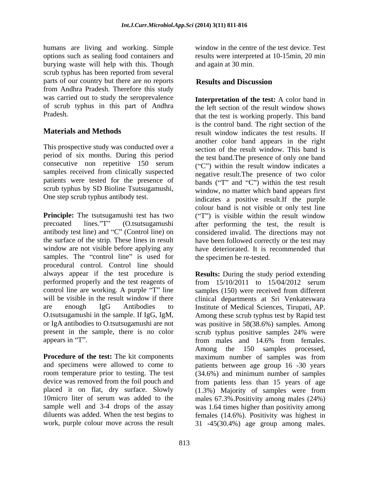humans are living and working. Simple burying waste will help with this. Though scrub typhus has been reported from several parts of our country but there are no reports **Results and Discussion** from Andhra Pradesh. Therefore this study was carried out to study the seroprevalence

This prospective study was conducted over a period of six months. During this period samples received from clinically suspected patients were tested for the presence of scrub typhus by SD Bioline Tsutsugamushi,

**Principle:** The tsutsugamushi test has two ("T") is visible within the result window precoated lines."T" (O.tsutsugamushi after performing the test, the result is antibody test line) and "C" (Control line) on considered invalid. The directions may not the surface of the strip. These lines in result have been followed correctly or the test may window are not visible before applying any samples. The "control line" is used for procedural control. Control line should always appear if the test procedure is **Results:** During the study period extending performed properly and the test reagents of  $\frac{15}{10/2011}$  to  $\frac{15}{04/2012}$  serum control line are working. A purple "T" line will be visible in the result window if there clinical departments at Sri Venkateswara are enough IgG Antibodies to Institute of Medical Sciences, Tirupati, AP. O.tsutsugamushi in the sample. If IgG, IgM, Among these scrub typhus test by Rapid test or IgA antibodies to O.tsutsugamushi are not was positive in 58(38.6%) samples. Among present in the sample, there is no color scrub typhus positive samples 24% were appears in "T". from males and 14.6% from females.

options such as sealing food containers and results were interpreted at 10-15min, 20 min window in the centre of the test device. Test and again at 30 min.

## **Results and Discussion**

of scrub typhus in this part of Andhra the left section of the result window shows Pradesh. that the test is working properly. This band **Materials and Methods** result window indicates the test results. If consecutive non repetitive 150 serum  $({}^{\omega}C^{\nu})$  within the result window indicates a One step scrub typhus antibody test.<br>
indicates a positive result.If the purple **Interpretation of the test:** A color band in is the control band. The right section of the another color band appears in the right section of the result window. This band is the test band.The presence of only one band  $(C<sup>n</sup>)$  within the result window indicates a negative result.The presence of two color bands  $("T"$  and " $C"$ ) within the test result window, no matter which band appears first colour band is not visible or only test line have deteriorated. It is recommended that the specimen be re-tested.

**Procedure of the test:** The kit components maximum number of samples was from and specimens were allowed to come to patients between age group 16 -30 years room temperature prior to testing. The test (34.6%) and minimum number of samples device was removed from the foil pouch and from patients less than 15 years of age placed it on flat, dry surface. Slowly (1.3%) Majority of samples were from 10micro liter of serum was added to the males 67.3%.Positivity among males (24%) sample well and 3-4 drops of the assay was 1.64 times higher than positivity among diluents was added. When the test begins to females (14.6%). Positivity was highest in work, purple colour move across the result 31 -45(30.4%) age group among males.from 15/10/2011 to 15/04/2012 serum samples (150) were received from different scrub typhus positive samples 24% were from males and 14.6% from females. Among the 150 samples processed,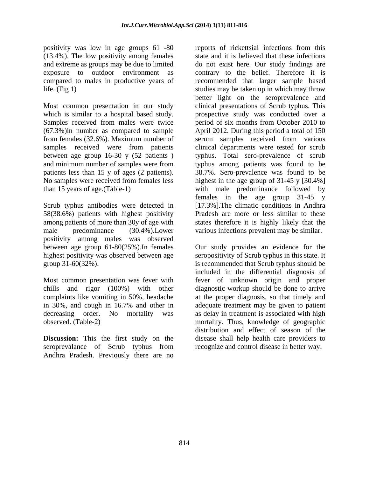positivity was low in age groups 61 -80 reports of rickettsial infections from this (13.4%). The low positivity among females

between age group 16-30 y (52 patients )

Scrub typhus antibodies were detected in 58(38.6%) patients with highest positivity male predominance (30.4%).Lower various infections prevalent may be similar. positivity among males was observed

**Discussion:** This the first study on the Andhra Pradesh. Previously there are no

and extreme as groups may be due to limited do not exist here. Our study findings are exposure to outdoor environment as contrary to the belief. Therefore it is compared to males in productive years of recommended that larger sample based life. (Fig 1) studies may be taken up in which may throw Most common presentation in our study clinical presentations of Scrub typhus. This which is similar to a hospital based study. prospective study was conducted over a Samples received from males were twice period of six months from October 2010 to (67.3%)in number as compared to sample April 2012. During this period a total of 150 from females (32.6%). Maximum number of serum samples received from various samples received were from patients clinical departments were tested for scrub and minimum number of samples were from typhus among patients was found to be patients less than 15 y of ages (2 patients). 38.7%. Sero-prevalence was found to be No samples were received from females less highest in the age group of 31-45 y [30.4%] than 15 years of age.(Table-1) with male predominance followed by among patients of more than 30y of age with states therefore it is highly likely that the reports of rickettsial infections from this state and it is believed that these infections better light on the seroprevalence and typhus. Total sero-prevalence of scrub females in the age group 31-45 y [17.3%].The climatic conditions in Andhra Pradesh are more or less similar to these

between age group 61-80(25%).In females Our study provides an evidence for the highest positivity was observed between age seropositivity of Scrub typhus in this state. It group 31-60(32%). is recommended that Scrub typhus should be included in the differential diagnosis of<br>Most common presentation was fever with fever of unknown origin and proper chills and rigor (100%) with other diagnostic workup should be done to arrive complaints like vomiting in 50%, headache at the proper diagnosis, so that timely and in 30%, and cough in 16.7% and other in adequate treatment may be given to patient decreasing order. No mortality was as delay in treatment is associated with high observed. (Table-2) mortality. Thus, knowledge of geographic seroprevalance of Scrub typhus from recognize and control disease in better way. included in the differential diagnosis of fever of unknown origin and proper distribution and effect of season of the disease shall help health care providers to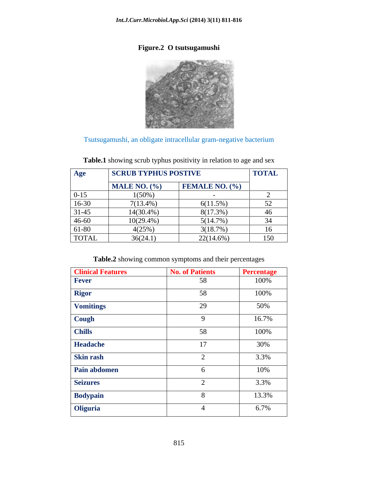### **Figure.2 O tsutsugamushi**



Tsutsugamushi, an obligate intracellular gram-negative bacterium

| Age                                                                                                                                                                                                                                               | <b>SCRUB TYPHUS POSTIVE</b> |                       | <b>TOTAL</b> |
|---------------------------------------------------------------------------------------------------------------------------------------------------------------------------------------------------------------------------------------------------|-----------------------------|-----------------------|--------------|
|                                                                                                                                                                                                                                                   | $MALE\,NO.$ (%)             | <b>FEMALE NO. (%)</b> |              |
| $0 - 15$                                                                                                                                                                                                                                          | $1(50\%)$                   |                       |              |
| $16 - 30$<br>the control of the control of the control                                                                                                                                                                                            | 7(13.4%)                    | $6(11.5\%)$           | 52           |
| $31 - 45$<br><u> La Barbara de la Barbara de la Barbara de la Barbara de la Barbara de la Barbara de la Barbara de la Barbara de la Barbara de la Barbara de la Barbara de la Barbara de la Barbara de la Barbara de la Barbara de la Barbara</u> | 14(30.4%)                   | 8(17.3%)              | 46           |
| 46-60                                                                                                                                                                                                                                             | $10(29.4\%)$                | 5(14.7%)              | $\sim$<br>.  |
| 61-80                                                                                                                                                                                                                                             | 4(25%                       | 3(18.7%)              | $\sim$<br>16 |
| TOTAL                                                                                                                                                                                                                                             | 36(24.1)                    | $22(14.6\%)$          | 150<br>100   |

# **Table.1** showing scrub typhus positivity in relation to age and sex

### **Table.2** showing common symptoms and their percentages

| <b>Clinical Features</b>  | <b>No. of Patients</b> | <b>Percentage</b> |
|---------------------------|------------------------|-------------------|
| Fever                     | 58                     | 100%              |
| Rigor                     | 58                     | $100\%$           |
| Vomitings                 | 29                     | 50%               |
| Cough                     |                        | 16.7%             |
| Chills                    | 58                     | 100%              |
| Headache                  | 17                     | 30%               |
|                           |                        | 3.3%              |
| Skin rash<br>Pain abdomen |                        | 10%               |
| Seizures                  |                        | 3.3%              |
| Bodypain                  |                        | 13.3%             |
| Oliguria                  |                        | 6.7%              |